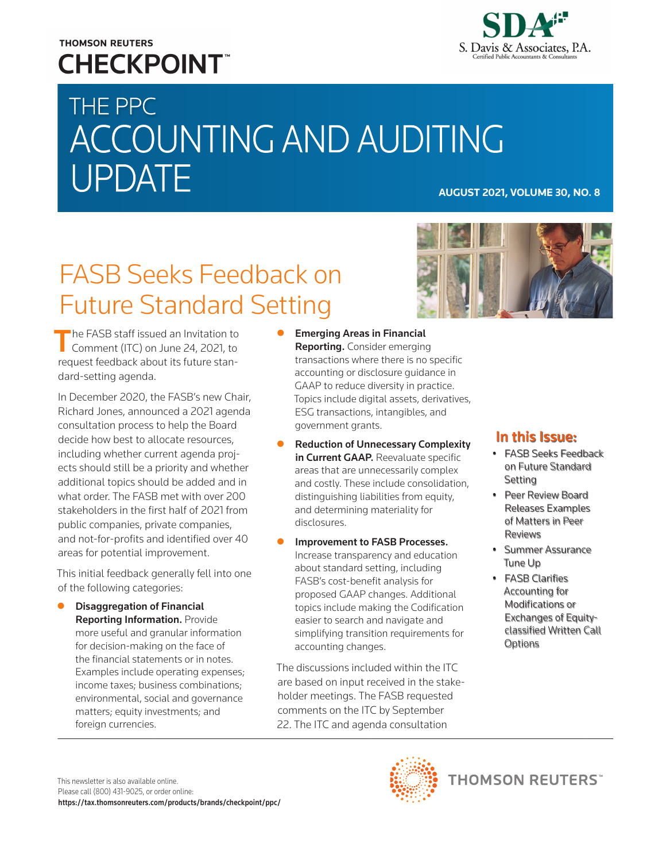## **THOMSON REUTERS CHECKPOINT**



# THE PPC ACCOUNTING AND AUDITING UPDATE **AUGUST 2021, VOLUME 30, NO. 8**

## FASB Seeks Feedback on Future Standard Setting



The FASB staff issued an Invitation to<br>Comment (ITC) on June 24, 2021, to request feedback about its future standard-setting agenda.

In December 2020, the FASB's new Chair, Richard Jones, announced a 2021 agenda consultation process to help the Board decide how best to allocate resources, including whether current agenda projects should still be a priority and whether additional topics should be added and in what order. The FASB met with over 200 stakeholders in the first half of 2021 from public companies, private companies, and not-for-profits and identified over 40 areas for potential improvement.

This initial feedback generally fell into one of the following categories:

**Disaggregation of Financial** Reporting Information. Provide more useful and granular information for decision-making on the face of the financial statements or in notes. Examples include operating expenses; income taxes; business combinations; environmental, social and governance matters; equity investments; and foreign currencies.

- $\bullet$  Emerging Areas in Financial **Reporting.** Consider emerging transactions where there is no specific accounting or disclosure guidance in GAAP to reduce diversity in practice. Topics include digital assets, derivatives, ESG transactions, intangibles, and government grants.
- **Reduction of Unnecessary Complexity** in Current GAAP. Reevaluate specific areas that are unnecessarily complex and costly. These include consolidation, distinguishing liabilities from equity, and determining materiality for disclosures.
- Improvement to FASB Processes. Increase transparency and education about standard setting, including FASB's cost-benefit analysis for proposed GAAP changes. Additional topics include making the Codification easier to search and navigate and simplifying transition requirements for accounting changes.

The discussions included within the ITC are based on input received in the stakeholder meetings. The FASB requested comments on the ITC by September 22. The ITC and agenda consultation

### In this Issue:

- FASB Seeks Feedback on Future Standard Setting
- Peer Review Board Releases Examples of Matters in Peer Reviews
- Summer Assurance Tune Up
- FASB Clarifies Accounting for Modifications or Exchanges of Equityclassified Written Call **Options**

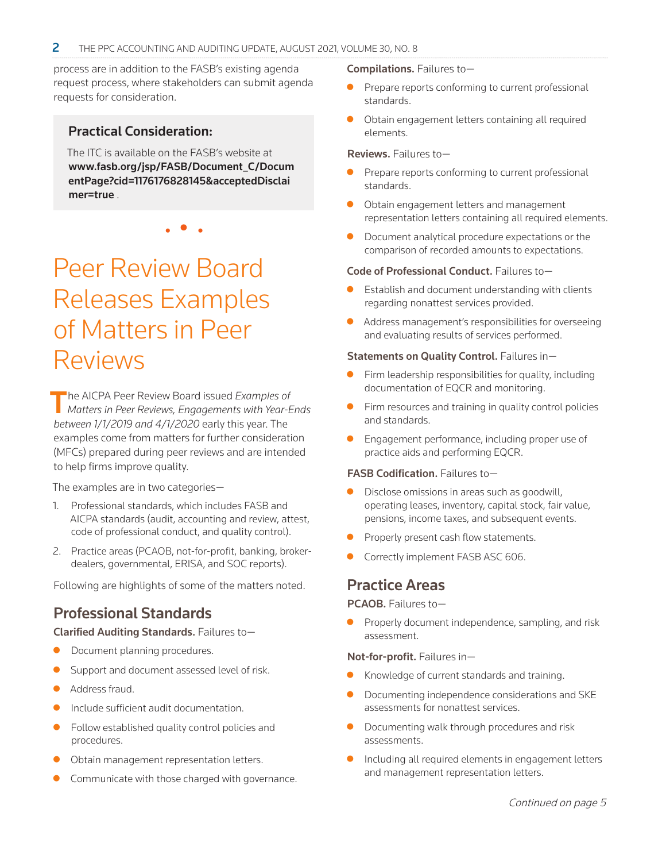process are in addition to the FASB's existing agenda request process, where stakeholders can submit agenda requests for consideration.

#### Practical Consideration:

The ITC is available on the FASB's website at [www.fasb.org/jsp/FASB/Document\\_C/Docum](https://www.fasb.org/jsp/FASB/Document_C/DocumentPage?cid=1176176828145&acceptedDisclaimer=true) [entPage?cid=1176176828145&acceptedDisclai](https://www.fasb.org/jsp/FASB/Document_C/DocumentPage?cid=1176176828145&acceptedDisclaimer=true) [mer=true](https://www.fasb.org/jsp/FASB/Document_C/DocumentPage?cid=1176176828145&acceptedDisclaimer=true) .

• • •

## Peer Review Board Releases Examples of Matters in Peer Reviews

The AICPA Peer Review Board issued *Examples of Matters in Peer Reviews, Engagements with Year-Ends between 1/1/2019 and 4/1/2020* early this year. The examples come from matters for further consideration (MFCs) prepared during peer reviews and are intended to help firms improve quality.

The examples are in two categories—

- 1. Professional standards, which includes FASB and AICPA standards (audit, accounting and review, attest, code of professional conduct, and quality control).
- 2. Practice areas (PCAOB, not-for-profit, banking, brokerdealers, governmental, ERISA, and SOC reports).

Following are highlights of some of the matters noted.

### Professional Standards

Clarified Auditing Standards. Failures to—

- Document planning procedures.
- Support and document assessed level of risk.
- Address fraud.
- Include sufficient audit documentation.
- Follow established quality control policies and procedures.
- Obtain management representation letters.
- Communicate with those charged with governance.

#### Compilations. Failures to—

- Prepare reports conforming to current professional standards.
- $\bullet$  Obtain engagement letters containing all required elements.

Reviews. Failures to—

- Prepare reports conforming to current professional standards.
- Obtain engagement letters and management representation letters containing all required elements.
- Document analytical procedure expectations or the comparison of recorded amounts to expectations.

#### Code of Professional Conduct. Failures to—

- Establish and document understanding with clients regarding nonattest services provided.
- Address management's responsibilities for overseeing and evaluating results of services performed.

#### Statements on Quality Control. Failures in—

- $\bullet$  Firm leadership responsibilities for quality, including documentation of EQCR and monitoring.
- $\bullet$  Firm resources and training in quality control policies and standards.
- Engagement performance, including proper use of practice aids and performing EQCR.

#### FASB Codification. Failures to-

- Disclose omissions in areas such as goodwill, operating leases, inventory, capital stock, fair value, pensions, income taxes, and subsequent events.
- Properly present cash flow statements.
- Correctly implement FASB ASC 606.

### Practice Areas

PCAOB. Failures to—

Properly document independence, sampling, and risk assessment.

#### Not-for-profit. Failures in—

- Knowledge of current standards and training.
- Documenting independence considerations and SKE assessments for nonattest services.
- Documenting walk through procedures and risk assessments.
- Including all required elements in engagement letters and management representation letters.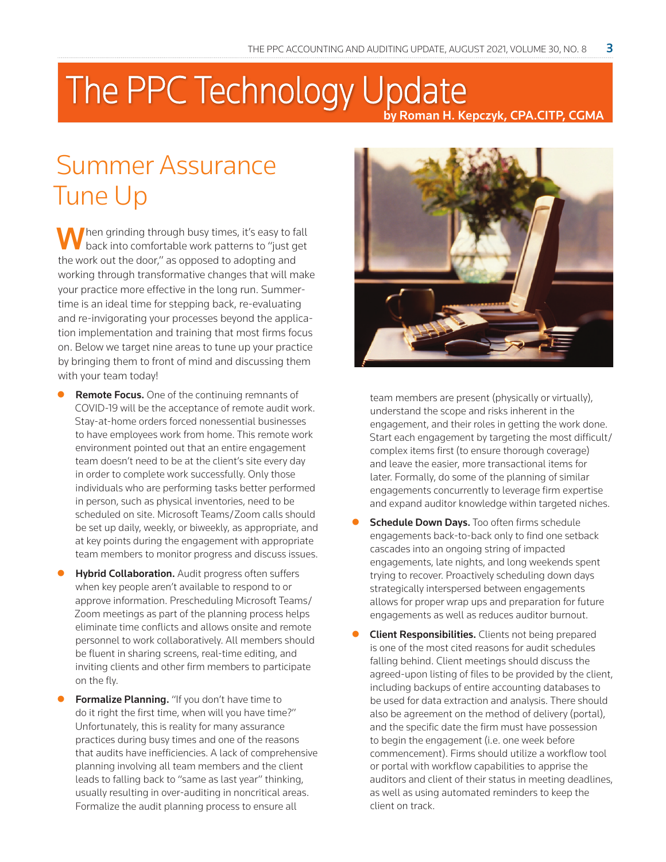## The PPC Technology Update by Roman H. Kepczyk, CPA.CITP, CGMA

## Summer Assurance Tune Up

Then grinding through busy times, it's easy to fall back into comfortable work patterns to "just get the work out the door," as opposed to adopting and working through transformative changes that will make your practice more effective in the long run. Summertime is an ideal time for stepping back, re-evaluating and re-invigorating your processes beyond the application implementation and training that most firms focus on. Below we target nine areas to tune up your practice by bringing them to front of mind and discussing them with your team today!

- Remote Focus. One of the continuing remnants of COVID-19 will be the acceptance of remote audit work. Stay-at-home orders forced nonessential businesses to have employees work from home. This remote work environment pointed out that an entire engagement team doesn't need to be at the client's site every day in order to complete work successfully. Only those individuals who are performing tasks better performed in person, such as physical inventories, need to be scheduled on site. Microsoft Teams/Zoom calls should be set up daily, weekly, or biweekly, as appropriate, and at key points during the engagement with appropriate team members to monitor progress and discuss issues.
- Hybrid Collaboration. Audit progress often suffers when key people aren't available to respond to or approve information. Prescheduling Microsoft Teams/ Zoom meetings as part of the planning process helps eliminate time conflicts and allows onsite and remote personnel to work collaboratively. All members should be fluent in sharing screens, real-time editing, and inviting clients and other firm members to participate on the fly.
- Formalize Planning. "If you don't have time to do it right the first time, when will you have time?" Unfortunately, this is reality for many assurance practices during busy times and one of the reasons that audits have inefficiencies. A lack of comprehensive planning involving all team members and the client leads to falling back to "same as last year" thinking, usually resulting in over-auditing in noncritical areas. Formalize the audit planning process to ensure all



team members are present (physically or virtually), understand the scope and risks inherent in the engagement, and their roles in getting the work done. Start each engagement by targeting the most difficult/ complex items first (to ensure thorough coverage) and leave the easier, more transactional items for later. Formally, do some of the planning of similar engagements concurrently to leverage firm expertise and expand auditor knowledge within targeted niches.

- **Schedule Down Days.** Too often firms schedule engagements back-to-back only to find one setback cascades into an ongoing string of impacted engagements, late nights, and long weekends spent trying to recover. Proactively scheduling down days strategically interspersed between engagements allows for proper wrap ups and preparation for future engagements as well as reduces auditor burnout.
- **Client Responsibilities.** Clients not being prepared is one of the most cited reasons for audit schedules falling behind. Client meetings should discuss the agreed-upon listing of files to be provided by the client, including backups of entire accounting databases to be used for data extraction and analysis. There should also be agreement on the method of delivery (portal), and the specific date the firm must have possession to begin the engagement (i.e. one week before commencement). Firms should utilize a workflow tool or portal with workflow capabilities to apprise the auditors and client of their status in meeting deadlines, as well as using automated reminders to keep the client on track.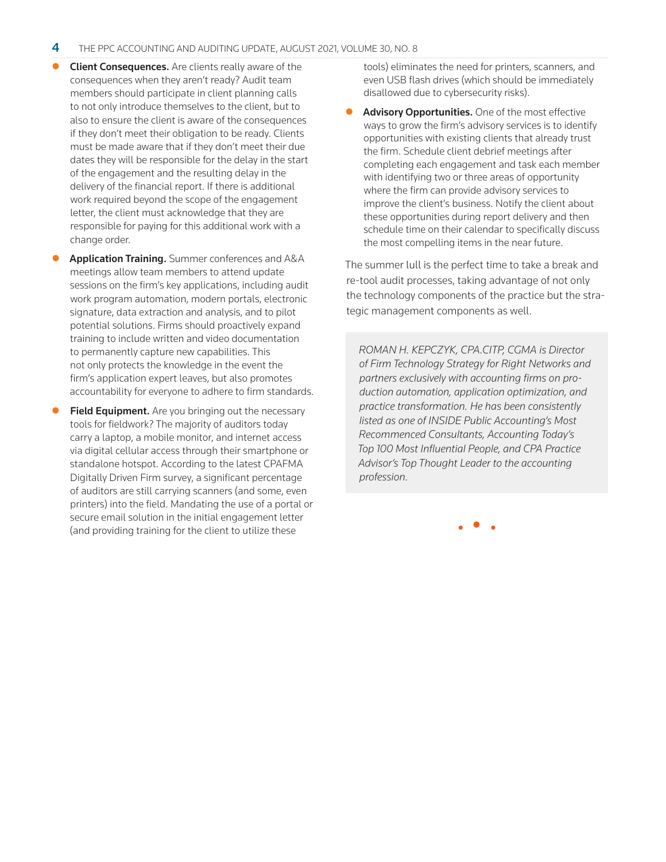- Client Consequences. Are clients really aware of the consequences when they aren't ready? Audit team members should participate in client planning calls to not only introduce themselves to the client, but to also to ensure the client is aware of the consequences if they don't meet their obligation to be ready. Clients must be made aware that if they don't meet their due dates they will be responsible for the delay in the start of the engagement and the resulting delay in the delivery of the financial report. If there is additional work required beyond the scope of the engagement letter, the client must acknowledge that they are responsible for paying for this additional work with a change order.
- Application Training. Summer conferences and A&A meetings allow team members to attend update sessions on the firm's key applications, including audit work program automation, modern portals, electronic signature, data extraction and analysis, and to pilot potential solutions. Firms should proactively expand training to include written and video documentation to permanently capture new capabilities. This not only protects the knowledge in the event the firm's application expert leaves, but also promotes accountability for everyone to adhere to firm standards.
- Field Equipment. Are you bringing out the necessary tools for fieldwork? The majority of auditors today carry a laptop, a mobile monitor, and internet access via digital cellular access through their smartphone or standalone hotspot. According to the latest CPAFMA Digitally Driven Firm survey, a significant percentage of auditors are still carrying scanners (and some, even printers) into the field. Mandating the use of a portal or secure email solution in the initial engagement letter (and providing training for the client to utilize these

tools) eliminates the need for printers, scanners, and even USB flash drives (which should be immediately disallowed due to cybersecurity risks).

Advisory Opportunities. One of the most effective ways to grow the firm's advisory services is to identify opportunities with existing clients that already trust the firm. Schedule client debrief meetings after completing each engagement and task each member with identifying two or three areas of opportunity where the firm can provide advisory services to improve the client's business. Notify the client about these opportunities during report delivery and then schedule time on their calendar to specifically discuss the most compelling items in the near future.

The summer lull is the perfect time to take a break and re-tool audit processes, taking advantage of not only the technology components of the practice but the strategic management components as well.

*ROMAN H. KEPCZYK, CPA.CITP, CGMA is Director of Firm Technology Strategy for Right Networks and partners exclusively with accounting firms on production automation, application optimization, and practice transformation. He has been consistently listed as one of INSIDE Public Accounting's Most Recommenced Consultants, Accounting Today's Top 100 Most Influential People, and CPA Practice Advisor's Top Thought Leader to the accounting profession.*

• • •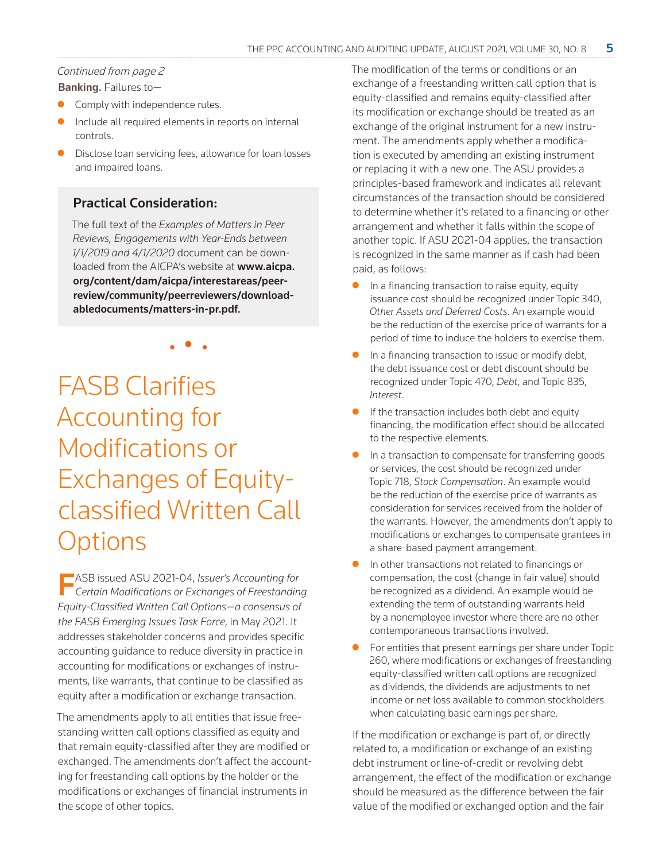#### Continued from page 2

Banking. Failures to—

- Comply with independence rules.
- Include all required elements in reports on internal controls.
- Disclose loan servicing fees, allowance for loan losses and impaired loans.

### Practical Consideration:

The full text of the *Examples of Matters in Peer Reviews, Engagements with Year-Ends between 1/1/2019 and 4/1/2020* document can be downloaded from the AICPA's website at **[www.aicpa.](https://www.aicpa.org/content/dam/aicpa/interestareas/peerreview/community/peerreviewers/downloadabledocuments/matters-in-pr.pdf)** [org/content/dam/aicpa/interestareas/peer](https://www.aicpa.org/content/dam/aicpa/interestareas/peerreview/community/peerreviewers/downloadabledocuments/matters-in-pr.pdf)[review/community/peerreviewers/download](https://www.aicpa.org/content/dam/aicpa/interestareas/peerreview/community/peerreviewers/downloadabledocuments/matters-in-pr.pdf)[abledocuments/matters-in-pr.pdf](https://www.aicpa.org/content/dam/aicpa/interestareas/peerreview/community/peerreviewers/downloadabledocuments/matters-in-pr.pdf).

• • •

FASB Clarifies Accounting for Modifications or Exchanges of Equityclassified Written Call **Options** 

FASB issued ASU 2021-04, *Issuer's Accounting for Certain Modifications or Exchanges of Freestanding Equity-Classified Written Call Options—a consensus of the FASB Emerging Issues Task Force*, in May 2021. It addresses stakeholder concerns and provides specific accounting guidance to reduce diversity in practice in accounting for modifications or exchanges of instruments, like warrants, that continue to be classified as equity after a modification or exchange transaction.

The amendments apply to all entities that issue freestanding written call options classified as equity and that remain equity-classified after they are modified or exchanged. The amendments don't affect the accounting for freestanding call options by the holder or the modifications or exchanges of financial instruments in the scope of other topics.

The modification of the terms or conditions or an exchange of a freestanding written call option that is equity-classified and remains equity-classified after its modification or exchange should be treated as an exchange of the original instrument for a new instrument. The amendments apply whether a modification is executed by amending an existing instrument or replacing it with a new one. The ASU provides a principles-based framework and indicates all relevant circumstances of the transaction should be considered to determine whether it's related to a financing or other arrangement and whether it falls within the scope of another topic. If ASU 2021-04 applies, the transaction is recognized in the same manner as if cash had been paid, as follows:

- In a financing transaction to raise equity, equity issuance cost should be recognized under Topic 340, *Other Assets and Deferred Costs*. An example would be the reduction of the exercise price of warrants for a period of time to induce the holders to exercise them.
- In a financing transaction to issue or modify debt, the debt issuance cost or debt discount should be recognized under Topic 470, *Debt*, and Topic 835, *Interest*.
- If the transaction includes both debt and equity financing, the modification effect should be allocated to the respective elements.
- In a transaction to compensate for transferring goods or services, the cost should be recognized under Topic 718, *Stock Compensation*. An example would be the reduction of the exercise price of warrants as consideration for services received from the holder of the warrants. However, the amendments don't apply to modifications or exchanges to compensate grantees in a share-based payment arrangement.
- In other transactions not related to financings or compensation, the cost (change in fair value) should be recognized as a dividend. An example would be extending the term of outstanding warrants held by a nonemployee investor where there are no other contemporaneous transactions involved.
- For entities that present earnings per share under Topic 260, where modifications or exchanges of freestanding equity-classified written call options are recognized as dividends, the dividends are adjustments to net income or net loss available to common stockholders when calculating basic earnings per share.

If the modification or exchange is part of, or directly related to, a modification or exchange of an existing debt instrument or line-of-credit or revolving debt arrangement, the effect of the modification or exchange should be measured as the difference between the fair value of the modified or exchanged option and the fair